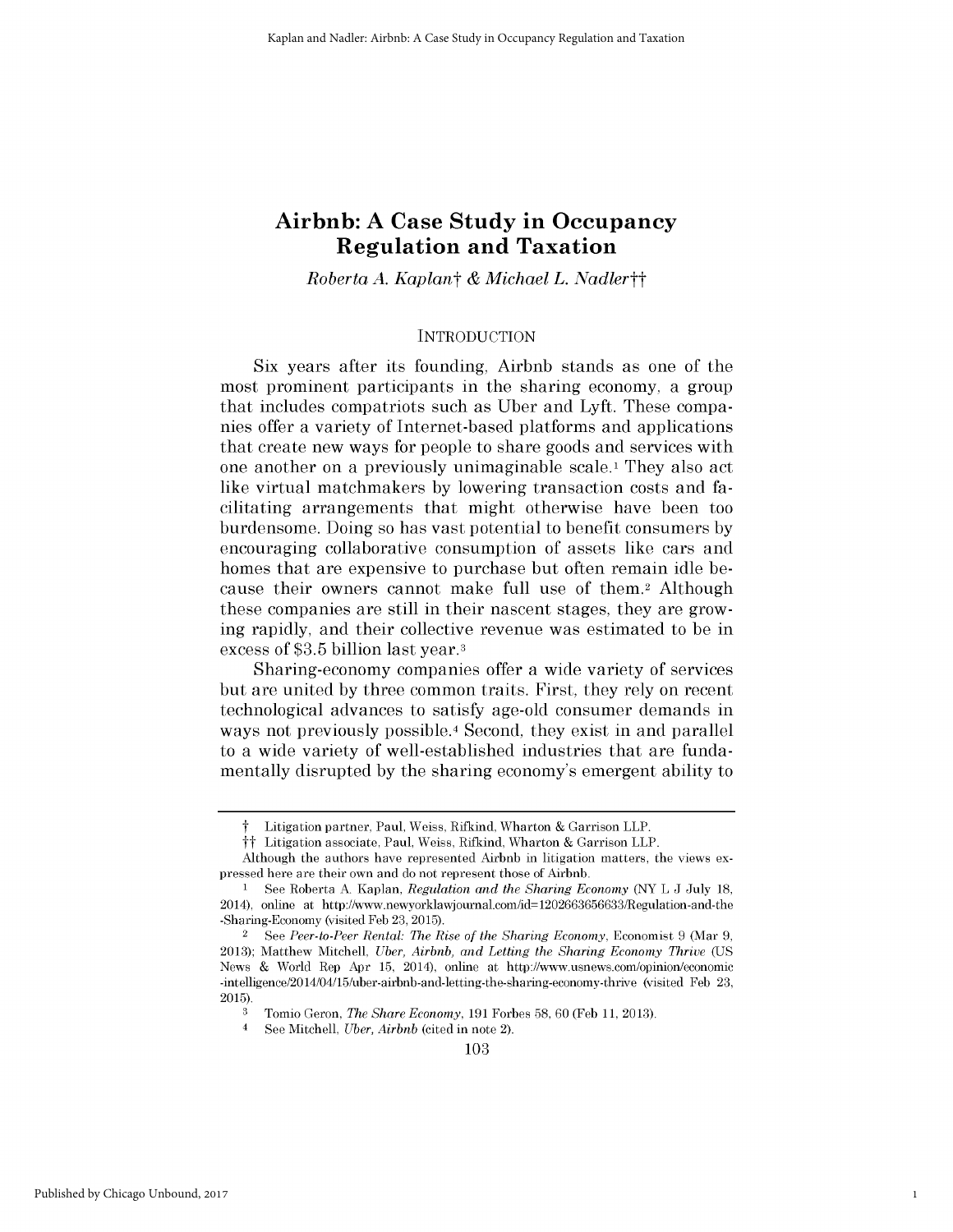# **Airbnb: A Case Study in Occupancy Regulation and Taxation**

*Roberta A. Kaplant & Michael L. Nadlertt*

### **INTRODUCTION**

Six years after its founding, Airbnb stands as one of the most prominent participants in the sharing economy, a group that includes compatriots such as Uber and Lyft. These companies offer a variety of Internet-based platforms and applications that create new ways for people to share goods and services with one another on a previously unimaginable scale.i They also act like virtual matchmakers by lowering transaction costs and facilitating arrangements that might otherwise have been too burdensome. Doing so has vast potential to benefit consumers by encouraging collaborative consumption of assets like cars and homes that are expensive to purchase but often remain idle because their owners cannot make full use of them.2 Although these companies are still in their nascent stages, they are growing rapidly, and their collective revenue was estimated to be in excess of \$3.5 billion last year. <sup>3</sup>

Sharing-economy companies offer a wide variety of services but are united by three common traits. First, they rely on recent technological advances to satisfy age-old consumer demands in ways not previously possible.<sup>4</sup> Second, they exist in and parallel to a wide variety of well-established industries that are fundamentally disrupted by the sharing economy's emergent ability to

1

Litigation partner, Paul, Weiss, Rifkind, Wharton & Garrison LLP.

tt Litigation associate, Paul, Weiss, Rifkind, Wharton & Garrison LLP.

Although the authors have represented Airbnb in litigation matters, the views expressed here are their own and do not represent those of Airbnb.

**I** See Roberta A. Kaplan, *Regulation and the Sharing Economy* (NY L J July 18, 2014), online at http://www.newyorklawjournal.com/id=1202663656633/Regulation-and-the -Sharing-Economy (visited Feb 23, 2015).

<sup>2</sup>See *Peer-to-Peer Rental: The Rise of the Sharing Economy,* Economist 9 (Mar 9, 2013); Matthew Mitchell, *Uber, Airbnb, and Letting the Sharing Economy Thrive (US* News & World Rep Apr 15, 2014), online at http://www.usnews.com/opinion/economic -intelligence/2014/04/15/uber-airbnb-and-letting-the-sharing-economy-thrive (visited Feb 23, 2015).

<sup>3</sup> Tomio Geron, *The Share Economy,* 191 Forbes 58, 60 (Feb 11, 2013).

See Mitchell, *Uber, Airbnb* (cited in note 2).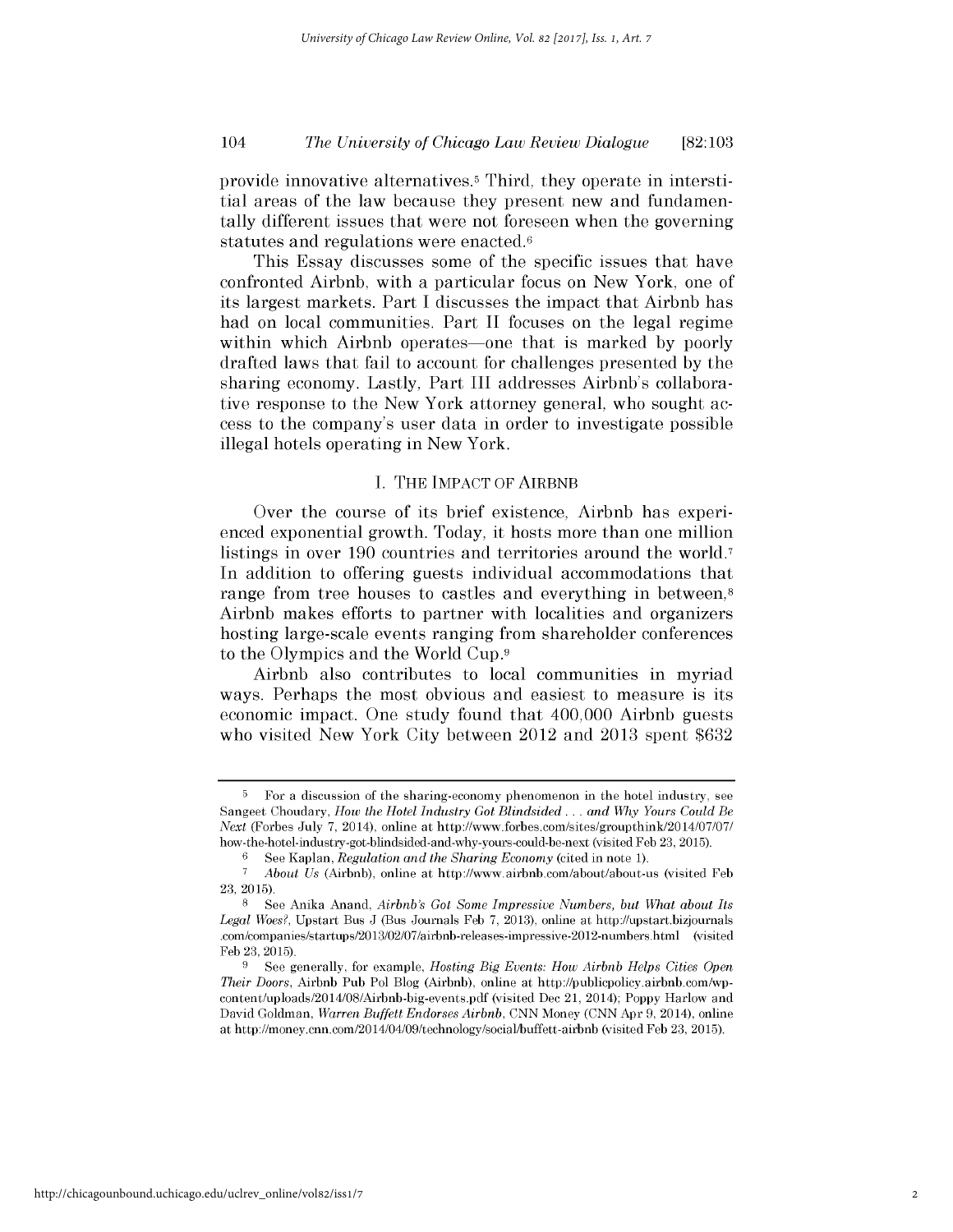provide innovative alternatives.<sup>5</sup> Third, they operate in interstitial areas of the law because they present new and fundamentally different issues that were not foreseen when the governing statutes and regulations were enacted.<sup>6</sup>

This Essay discusses some of the specific issues that have confronted Airbnb, with a particular focus on New York, one of its largest markets. Part I discusses the impact that Airbnb has had on local communities. Part II focuses on the legal regime within which Airbnb operates-one that is marked by poorly drafted laws that fail to account for challenges presented by the sharing economy. Lastly, Part III addresses Airbnb's collaborative response to the New York attorney general, who sought access to the company's user data in order to investigate possible illegal hotels operating in New York.

# I. THE IMPACT OF AIRBNB

Over the course of its brief existence, Airbnb has experienced exponential growth. Today, it hosts more than one million listings in over 190 countries and territories around the world.<sup>7</sup> In addition to offering guests individual accommodations that range from tree houses to castles and everything in between,<sup>8</sup> Airbnb makes efforts to partner with localities and organizers hosting large-scale events ranging from shareholder conferences to the Olympics and the World Cup.9

Airbnb also contributes to local communities in myriad ways. Perhaps the most obvious and easiest to measure is its economic impact. One study found that 400,000 Airbnb guests who visited New York City between 2012 and 2013 spent \$632

<sup>&</sup>lt;sup>5</sup> For a discussion of the sharing-economy phenomenon in the hotel industry, see Sangeet Choudary, *How the Hotel Industry Got Blindsided ... and Why Yours Could Be Next* (Forbes July 7, 2014), online at http://www.forbes.com/sites/groupthink/2014/07/07/ how-the-hotel-industry-got-bhndsided-and-why-yours-could-be-next (visited Feb 23, 2015).

<sup>6</sup>See Kaplan, *Regulation and the Sharing Economy* (cited in note 1).

*<sup>7</sup>About Us* (Airbnb), online at http://www.airbnb.com/about/about-us (visited Feb 23, 2015).

<sup>8</sup>See Anika Anand, *Airbnb's Got Some Impressive Numbers, but What about Its Legal Woes?,* Upstart Bus J (Bus Journals Feb 7, 2013), online at http://upstart.bizjournals .com/companies/startups/2013/02/07/airbnb-releases-impressive-2012-numbers.html (visited Feb 23, 2015).

<sup>9</sup> See generally, for example, *Hosting Big Events: How Airbnb Helps Cities Open Their Doors,* Airbnb Pub Pol Blog (Airbnb), online at http://publicpolicy.airbnb.com/wpcontent/uploads/2014/08/Airbnb-big-events.pdf (visited Dec 21, 2014); Poppy Harlow and David Goldman, *Warren Buffett Endorses Airbnb,* CNN Money (CNN Apr 9, 2014), online at http://money.cnn.com/2014/04/09/technology/social/buffett-airbnb (visited Feb 23, 2015).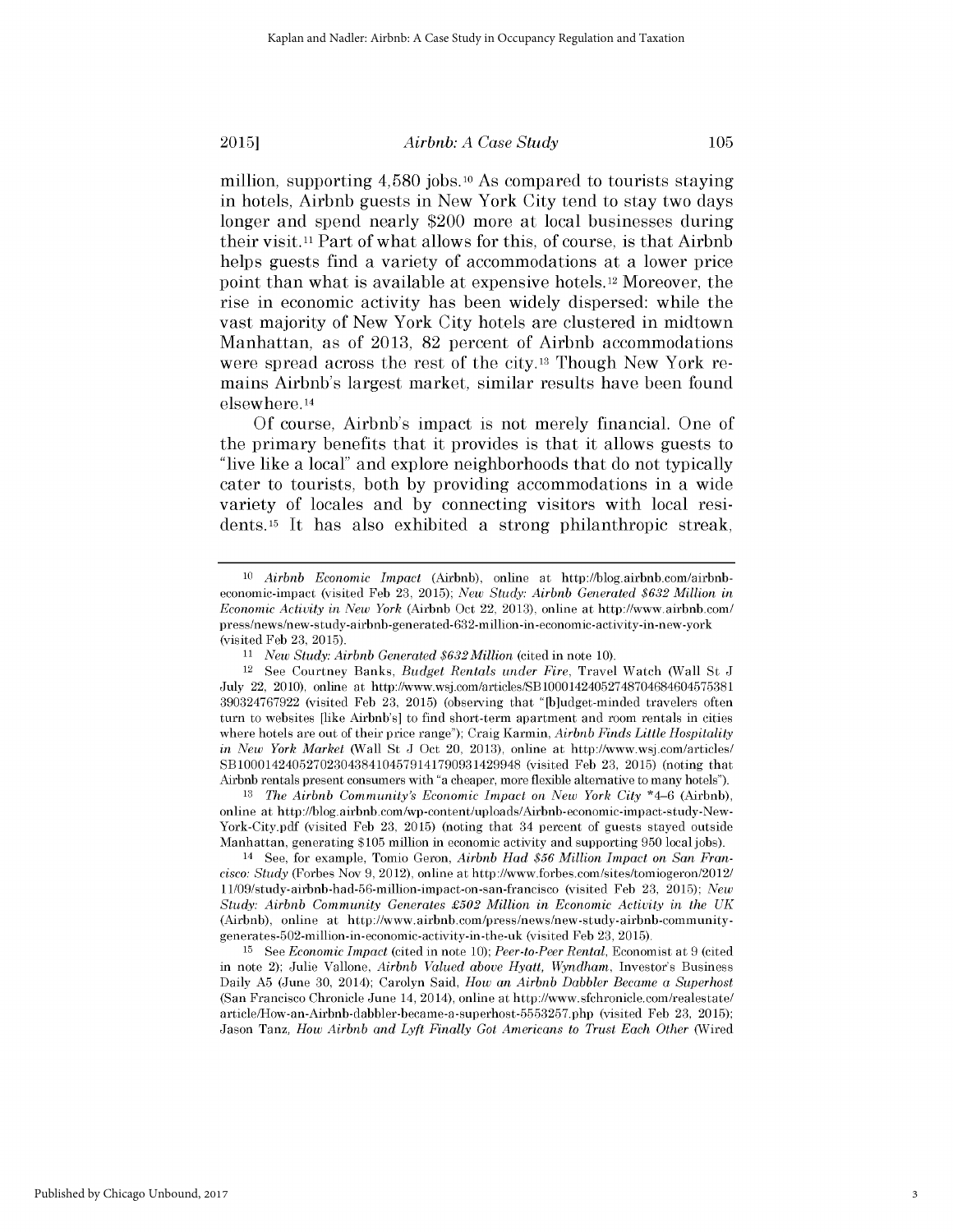2015] *Airbnb: A Case Study*

105

million, supporting 4,580 jobs. **10** As compared to tourists staying in hotels, Airbnb guests in New York City tend to stay two days longer and spend nearly \$200 more at local businesses during their **visit. 11** Part of what allows for this, of course, is that Airbnb helps guests find a variety of accommodations at a lower price point than what is available at expensive hotels.12 Moreover, the rise in economic activity has been widely dispersed: while the vast majority of New York City hotels are clustered in midtown Manhattan, as of **2013, 82** percent of Airbnb accommodations were spread across the rest of the city.13 Though New York remains Airbnb's largest market, similar results have been found elsewhere. <sup>14</sup>

**Of** course, Airbnb's impact is not merely financial. One of the primary benefits that it provides is that it allows guests to "live like a local" and explore neighborhoods that do not typically cater to tourists, both **by** providing accommodations in a wide variety of locales and **by** connecting visitors with local residents.15 It has also exhibited a strong philanthropic streak,

*<sup>13</sup>The Airbnb Community's Economic Impact on New York City* \*4-6 (Airbnb), online at http://blog.airbnb.com/wp-content/uploads/Airbnb-economic-impact-study-New-York-City.pdf (visited Feb 23, 2015) (noting that 34 percent of guests stayed outside Manhattan, generating \$105 million in economic activity and supporting 950 local jobs).

14 See, for example, Tomio Geron, *Airbnb Had \$56 Million Impact on San Francisco: Study* (Forbes Nov 9, 2012), online at http://www.forbes.com/sites/tomiogeron/2012/ 1 1/09/study-airbnb-had-56-million-impact-on-san-francisco (visited Feb 23, 2015); *New Study: Airbnb Community Generates £502 Million in Economic Activity in the UK* (Airbnb), online at http://www.airbnb.com/press/news/new-study-airbnb-communitygenerates-502-million-in-economic-activity-in-the-uk (visited Feb 23, 2015).

**<sup>15</sup>**See *Economic Impact* (cited in note 10); *Peer-to-Peer Rental,* Economist at 9 (cited in note 2); Julie Vallone, *Airbnb Valued above Hyatt, Wyndham,* Investor's Business Daily **A5** (June 30, 2014); Carolyn Said, *How an Airbnb Dabbler Became a Superhost* (San Francisco Chronicle June 14, 2014), online at http://www.sfchronicle.com/realestate/ article/How-an-Airbnb-dabbler-became-a-superhost-5553257.php (visited Feb 23, 2015); Jason Tanz, *How Airbnb and Lyft Finally Got Americans to Trust Each Other* (Wired

<sup>10</sup> *Airbnb Economic Impact* (Airbnb), online at http://blog.airbnb.com/airbnbeconomic-impact (visited Feb 23, 2015); *New Study: Airbnb Generated \$632 Million in Economic Activity in New York* (Airbnb Oct 22, 2013), online at http://www.airbnb.com/ press/news/new-study-airbnb-generated-632-million-in-economic-activity-in-new-york (visited Feb 23, 2015).

*<sup>11</sup>New Study: Airbnb Generated \$632Million* (cited in note 10).

<sup>12</sup>See Courtney Banks, *Budget Rentals under Fire,* Travel Watch (Wall St J July 22, 2010), online at http://www.wsj.com/articles/SB10001424052748704684604575381 390324767922 (visited Feb 23, 2015) (observing that "[b]udget-minded travelers often turn to websites [like Airbnb's] to find short-term apartment and room rentals in cities where hotels are out of their price range"); Craig Karmin, *Airbnb Finds Little Hospitality in New York Market* (Wall St J Oct 20, 2013), online at http://www.wsj.com/articles/ SB10001424052702304384104579141790931429948 (visited Feb 23, 2015) (noting that Airbnb rentals present consumers with "a cheaper, more flexible alternative to many hotels").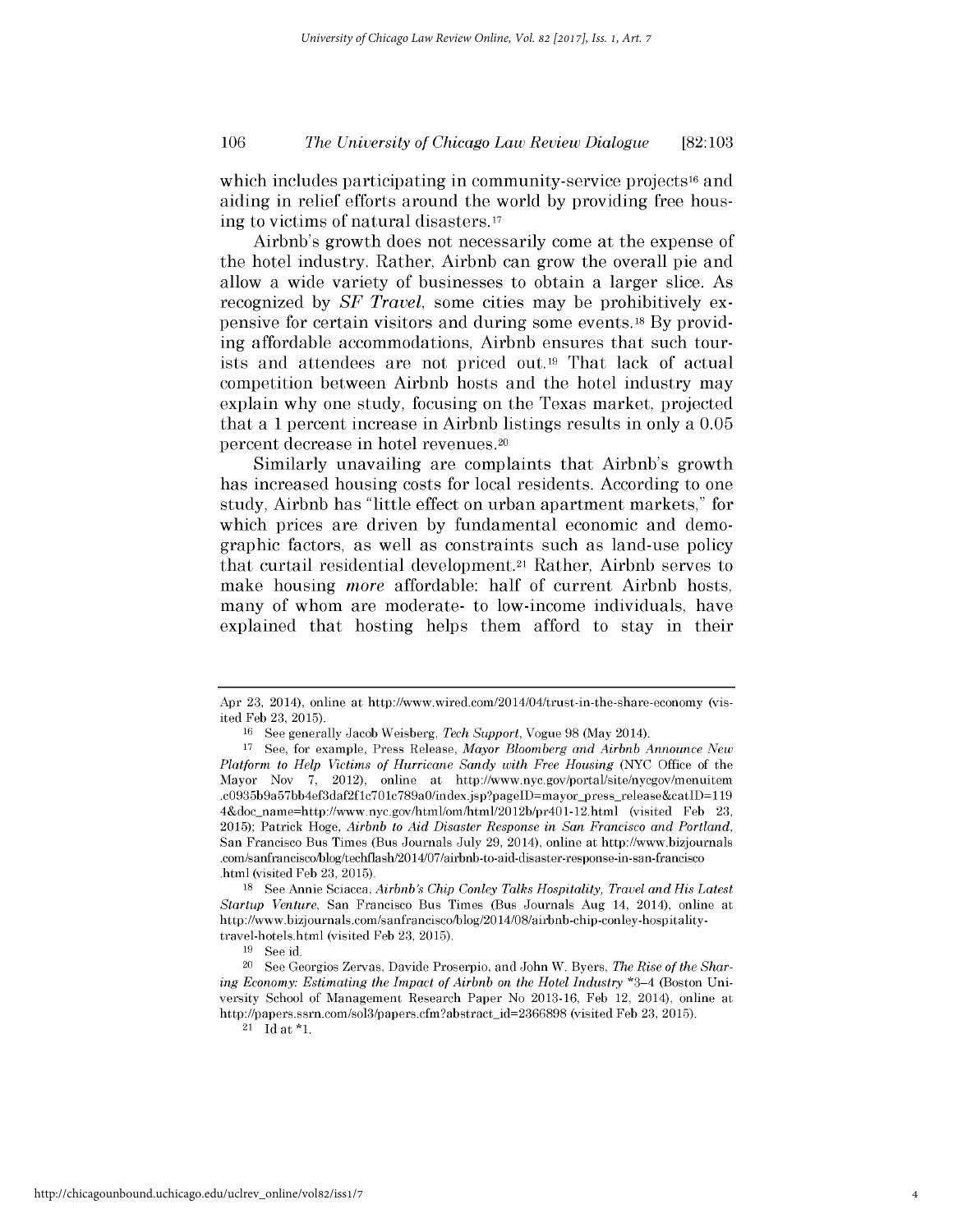which includes participating in community-service projects<sup>16</sup> and aiding in relief efforts around the world by providing free housing to victims of natural disasters. <sup>17</sup>

Airbnb's growth does not necessarily come at the expense of the hotel industry. Rather, Airbnb can grow the overall pie and allow a wide variety of businesses to obtain a larger slice. As recognized by *SF Travel,* some cities may be prohibitively expensive for certain visitors and during some events. 18 By providing affordable accommodations, Airbnb ensures that such tourists and attendees are not priced out.<sup>19</sup> That lack of actual competition between Airbnb hosts and the hotel industry may explain why one study, focusing on the Texas market, projected that a 1 percent increase in Airbnb listings results in only a 0.05 percent decrease in hotel revenues.<sup>20</sup>

Similarly unavailing are complaints that Airbnb's growth has increased housing costs for local residents. According to one study, Airbnb has "little effect on urban apartment markets," for which prices are driven by fundamental economic and demographic factors, as well as constraints such as land-use policy that curtail residential development.<sup>21</sup> Rather, Airbnb serves to make housing *more* affordable: half of current Airbnb hosts, many of whom are moderate- to low-income individuals, have explained that hosting helps them afford to stay in their

Apr 23, 2014), online at http://www.wired.com/20 14/04/trust-in-the-share-economy (visited Feb 23, 2015).

<sup>&</sup>lt;sup>16</sup> See generally Jacob Weisberg, *Tech Support*, Vogue 98 (May 2014).

<sup>17</sup>See, for example, Press Release, *Mayor Bloomberg and Airbnb Announce New Platform to Help Victims of Hurricane Sandy with Free Housing* (NYC Office of the Mayor Nov 7, 2012), online at http://www.nyc.gov/portal/site/nycgov/menuitem .c0935b9a57bb4ef3daf2f1c701c789a0/index.jsp?pageID=mayor\_press\_release&catID=119 4&doc name=http://www.nyc.gov/html/om/html/2012b/pr401-12.html (visited Feb 23, 2015); Patrick Hoge, *Airbnb to Aid Disaster Response in San Francisco and Portland,* San Francisco Bus Times (Bus Journals July 29, 2014), online at http://www.bizjournals .com/sanfranciscoblog/techflash2014/07/airbnb-to-aid-disaster-response-in-san-francisco .html (visited Feb 23, 2015).

<sup>&</sup>lt;sup>18</sup> See Annie Sciacca, *Airbnb's Chip Conley Talks Hospitality, Travel and His Latest Startup Venture,* San Francisco Bus Times (Bus Journals Aug 14, 2014), online at http://www.bizj ournals.com/s anfrancisco/blog/20 14/08/airbnb-chip-conley-hospitalitytravel-hotels.html (visited Feb 23, 2015).

<sup>19</sup> See id.

<sup>20</sup> See Georgios Zervas, Davide Proserpio, and John W. Byers, *The Rise of the Sharing Economy: Estimating the Impact of Airbnb on the Hotel Industry* \*3-4 (Boston University School of Management Research Paper No 2013-16, Feb 12, 2014), online at http://papers.ssrn.com/sol3/papers.cfm?abstract\_id=2366898 (visited Feb 23, 2015).

 $21$  Id at  $*1$ .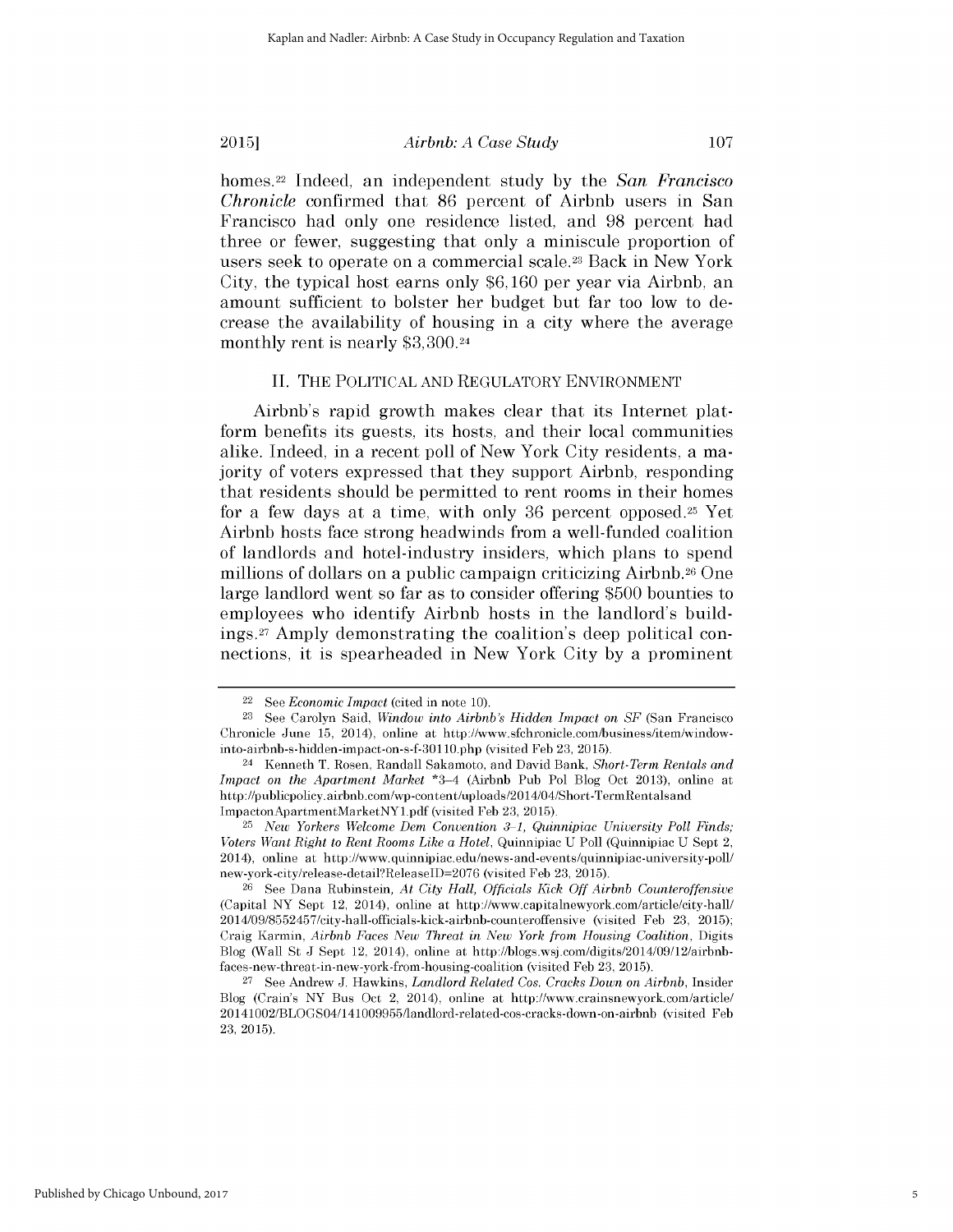### *Airbnb: A Case Study*

107

homes.22 Indeed, an independent study by the *San Francisco Chronicle* confirmed that 86 percent of Airbnb users in San Francisco had only one residence listed, and 98 percent had three or fewer, suggesting that only a miniscule proportion of users seek to operate on a commercial scale.23 Back in New York City, the typical host earns only \$6,160 per year via Airbnb, an amount sufficient to bolster her budget but far too low to decrease the availability of housing in a city where the average monthly rent is nearly \$3,300.24

### II. THE POLITICAL AND REGULATORY ENVIRONMENT

Airbnb's rapid growth makes clear that its Internet platform benefits its guests, its hosts, and their local communities alike. Indeed, in a recent poll of New York City residents, a majority of voters expressed that they support Airbnb, responding that residents should be permitted to rent rooms in their homes for a few days at a time, with only 36 percent opposed.25 Yet Airbnb hosts face strong headwinds from a well-funded coalition of landlords and hotel-industry insiders, which plans to spend millions of dollars on a public campaign criticizing Airbnb.<sup>26</sup> One large landlord went so far as to consider offering \$500 bounties to employees who identify Airbnb hosts in the landlord's buildings.27 Amply demonstrating the coalition's deep political connections, it is spearheaded in New York City by a prominent

<sup>22</sup>See *Economic Impact* (cited in note 10).

<sup>&</sup>lt;sup>23</sup> See Carolyn Said, *Window into Airbnb's Hidden Impact on SF* (San Francisco Chronicle June 15, 2014), online at http://www.sfchronicle.com/business/item/windowinto-airbnb-s-hidden-impact-on-s-f-301 10.php (visited Feb 23, 2015).

<sup>&</sup>lt;sup>24</sup> Kenneth T. Rosen, Randall Sakamoto, and David Bank, *Short-Term Rentals and Impact on the Apartment Market* \*3-4 (Airbnb Pub Pol Blog Oct 2013), online at http://publicpolicy.airbnb.com/wp-content/uploads/2014/04/Short-TermRentalsand ImpactonApartmentMarketNYl.pdf (visited Feb 23, 2015).

<sup>25</sup>*New Yorkers Welcome Dem Convention* 3-1, *Quinnipiac University Poll Finds; Voters Want Right to Rent Rooms Like a Hotel, Quinnipiac U Poll (Quinnipiac U Sept 2,* 2014), online at http://www.quinnipiac.edu/news-and-events/quinnipiac-university-poll/ new-york-city/release-detailReleaselD=2076 (visited Feb 23, 2015).

<sup>&</sup>lt;sup>26</sup> See Dana Rubinstein, *At City Hall, Officials Kick Off Airbnb Counteroffensive* (Capital NY Sept 12, 2014), online at http://www.capitalnewyork.com/article/city-hall/ 20 14/09/8552457/city-hall-officials-kick-airbnb-counteroffensive (visited Feb 23, 2015); Craig Karmin, *Airbnb Faces New Threat in New York from Housing Coalition,* Digits Blog (Wall St J Sept 12, 2014), online at http://blogs.wsj.com/digits/2014/09/12/airbnbfaces-new-threat-in-new-york-from-housing-coalition (visited Feb 23, 2015).

<sup>27</sup>See Andrew J. Hawkins, *Landlord Related Cos. Cracks Down on Airbnb,* Insider Blog (Crain's NY Bus Oct 2, 2014), online at http://www.crainsnewyork.com/article/ 20141002/BLOGS04/141009955/landlord-related-cos-cracks-down-on-airbnb (visited Feb 23, 2015).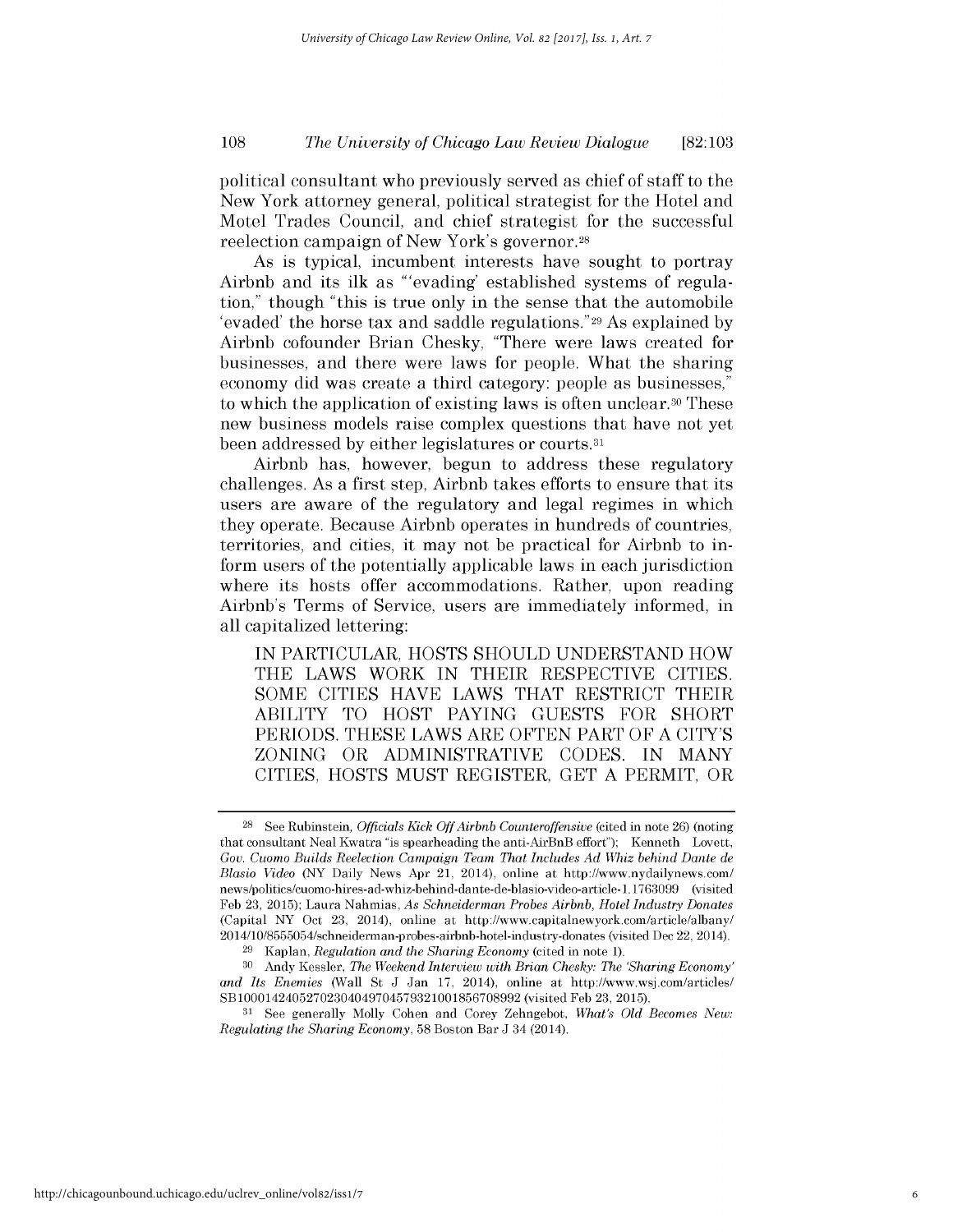political consultant who previously served as chief of staff to the New York attorney general, political strategist for the Hotel and Motel Trades Council, and chief strategist for the successful reelection campaign of New York's governor. <sup>28</sup>

As is typical, incumbent interests have sought to portray Airbnb and its ilk as "'evading' established systems of regulation," though "this is true only in the sense that the automobile 'evaded' the horse tax and saddle regulations."29 As explained by Airbnb cofounder Brian Chesky, "There were laws created for businesses, and there were laws for people. What the sharing economy did was create a third category: people as businesses," to which the application of existing laws is often unclear.30 These new business models raise complex questions that have not yet been addressed by either legislatures or courts.<sup>31</sup>

Airbnb has, however, begun to address these regulatory challenges. As a first step, Airbnb takes efforts to ensure that its users are aware of the regulatory and legal regimes in which they operate. Because Airbnb operates in hundreds of countries, territories, and cities, it may not be practical for Airbnb to inform users of the potentially applicable laws in each jurisdiction where its hosts offer accommodations. Rather, upon reading Airbnb's Terms of Service, users are immediately informed, in all capitalized lettering:

IN PARTICULAR, HOSTS SHOULD UNDERSTAND HOW THE LAWS WORK IN THEIR RESPECTIVE CITIES. SOME CITIES HAVE LAWS THAT RESTRICT THEIR ABILITY TO HOST PAYING GUESTS FOR SHORT PERIODS. THESE LAWS ARE OFTEN PART OF A CITY'S ZONING OR ADMINISTRATIVE CODES. IN MANY CITIES, HOSTS MUST REGISTER, GET A PERMIT, OR

<sup>28</sup>See Rubinstein, *Officials Kick Off Airbnb Counteroffensive* (cited in note 26) (noting that consultant Neal Kwatra "is spearheading the anti-AirBnB effort"); Kenneth Lovett, *Gov. Cuomo Builds Reelection Campaign Team That Includes Ad Whiz behind Dante de Blasio Video* (NY Daily News Apr 21, 2014), online at http://www.nydailynews.com/ news/politics/cuomo-hires-ad-whiz-behind-dante-de-blasio-video-article-1.1763099 (visited Feb 23, 2015); Laura Nahmias, *As Schneiderman Probes Airbnb, Hotel Industry Donates* (Capital NY Oct 23, 2014), online at http://www.capitalnewyork.com/article/albany/ 2014/10/8555054/schneiderman-probes-airbnb-hotel-industry-donates (visited Dec 22, 2014).

<sup>29</sup>Kaplan, *Regulation and the Sharing Economy* (cited in note 1).

<sup>30</sup> Andy Kessler, *The Weekend Interview with Brian Chesky: The 'Sharing Economy' and Its Enemies* (Wall St J Jan 17, 2014), online at http://www.wsj.com/articles/ SB10001424052702304049704579321001856708992 (visited Feb 23, 2015).

**<sup>31</sup>** See generally Molly Cohen and Corey Zehngebot, *What's Old Becomes New: Regulating the Sharing Economy,* 58 Boston Bar **J** 34 (2014).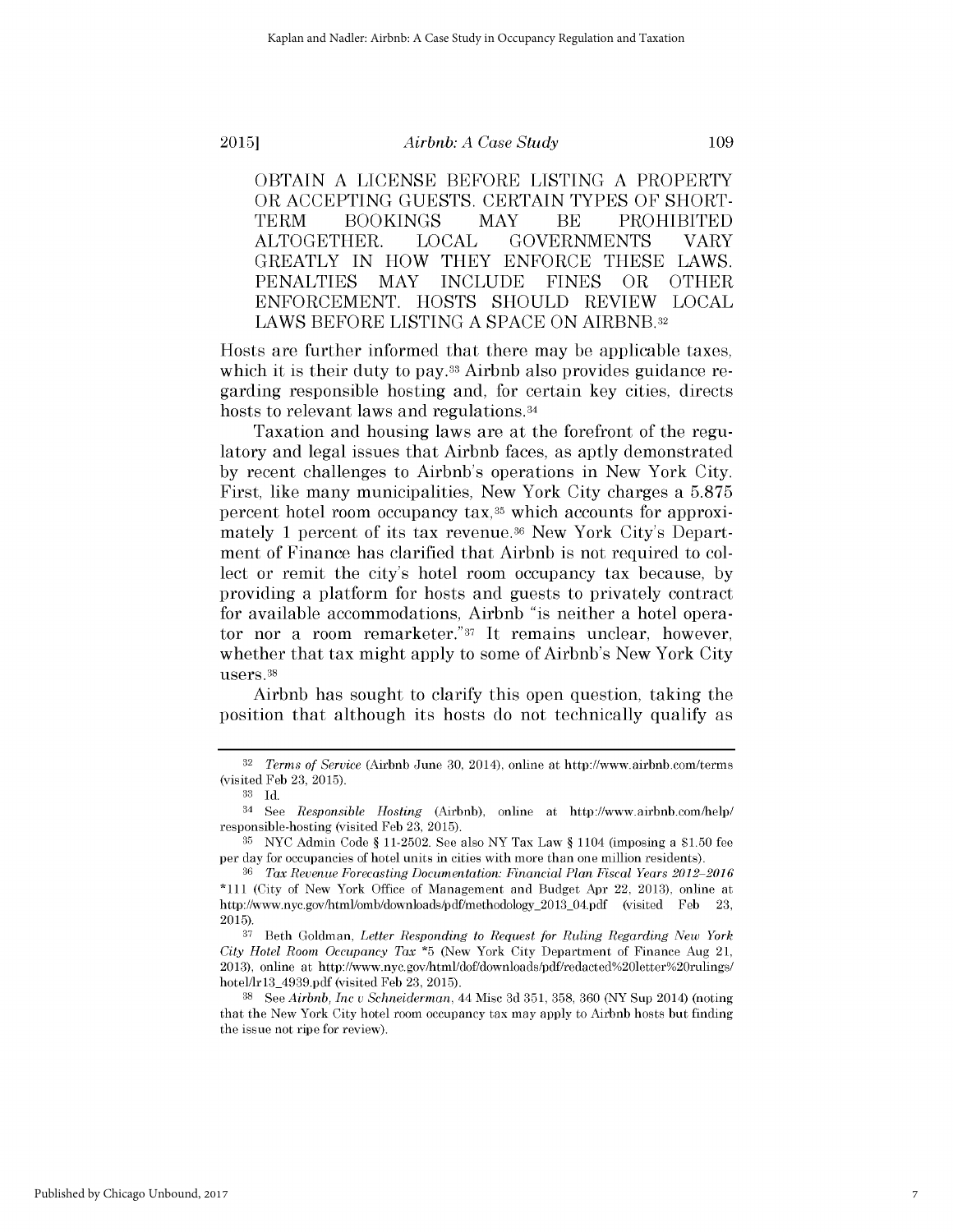*Airbnb: A Case Study*

OBTAIN A LICENSE BEFORE LISTING A PROPERTY OR ACCEPTING GUESTS. CERTAIN TYPES OF SHORT-TERM **BOOKINGS** MAY BE PROHIBITED ALTOGETHER. LOCAL GOVERNMENTS VARY GREATLY **IN** HOW THEY **ENFORCE THESE** LAWS. **PENALTIES** MAY **INCLUDE FINES** OR OTHER ENFORCEMENT. HOSTS SHOULD REVIEW LOCAL LAWS BEFORE **LISTING A SPACE ON** AIRBNB.32

Hosts are further informed that there may be applicable taxes, which it is their duty to pay.<sup>33</sup> Airbnb also provides guidance regarding responsible hosting and, for certain key cities, directs hosts to relevant laws and regulations.<sup>34</sup>

Taxation and housing laws are at the forefront of the regulatory and legal issues that Airbnb faces, as aptly demonstrated by recent challenges to Airbnb's operations in New York City. First, like many municipalities, New York City charges a 5.875 percent hotel room occupancy tax,35 which accounts for approximately 1 percent of its tax revenue.<sup>36</sup> New York City's Department of Finance has clarified that Airbnb is not required to collect or remit the city's hotel room occupancy tax because, by providing a platform for hosts and guests to privately contract for available accommodations, Airbnb "is neither a hotel operator nor a room remarketer."37 It remains unclear, however, whether that tax might apply to some of Airbnb's New York City users. 38

Airbnb has sought to clarify this open question, taking the position that although its hosts do not technically qualify as

109

**<sup>32</sup>***Terms of Service* (Airbnb June 30, 2014), online at http://www.airbnb.com/terms (visited Feb 23, 2015).

**<sup>33</sup>**Id.

<sup>34</sup>See *Responsible Hosting* (Airbnb), online at http://www.airbnb.com/help/ responsible-hosting (visited Feb 23, 2015).

 $35$  NYC Admin Code § 11-2502. See also NY Tax Law § 1104 (imposing a \$1.50 fee per day for occupancies of hotel units in cities with more than one million residents).

<sup>36</sup>*Tax Revenue Forecasting Documentation: Financial Plan Fiscal Years 2012 2016* \*111 (City of New York Office of Management and Budget Apr 22, 2013), online at http://www.nyc.gov/html/omb/downloads/pdf/methodology\_2013\_04.pdf (visited Feb 2015).

**<sup>37</sup>**Beth Goldman, *Letter Responding to Request for Ruling Regarding New York City Hotel Room Occupancy Tax* \*5 (New York City Department of Finance Aug 21, 2013), online at http://www.nyc.gov/html/dof/downloads/pdf/redacted%20letter%20rulings/ hotel/lr13\_4939.pdf (visited Feb 23, 2015).

**<sup>38</sup>**See *Airbnb, Inc v Schneiderman,* 44 Misc 3d 351, 358, 360 (NY Sup 2014) (noting that the New York City hotel room occupancy tax may apply to Airbnb hosts but finding the issue not ripe for review).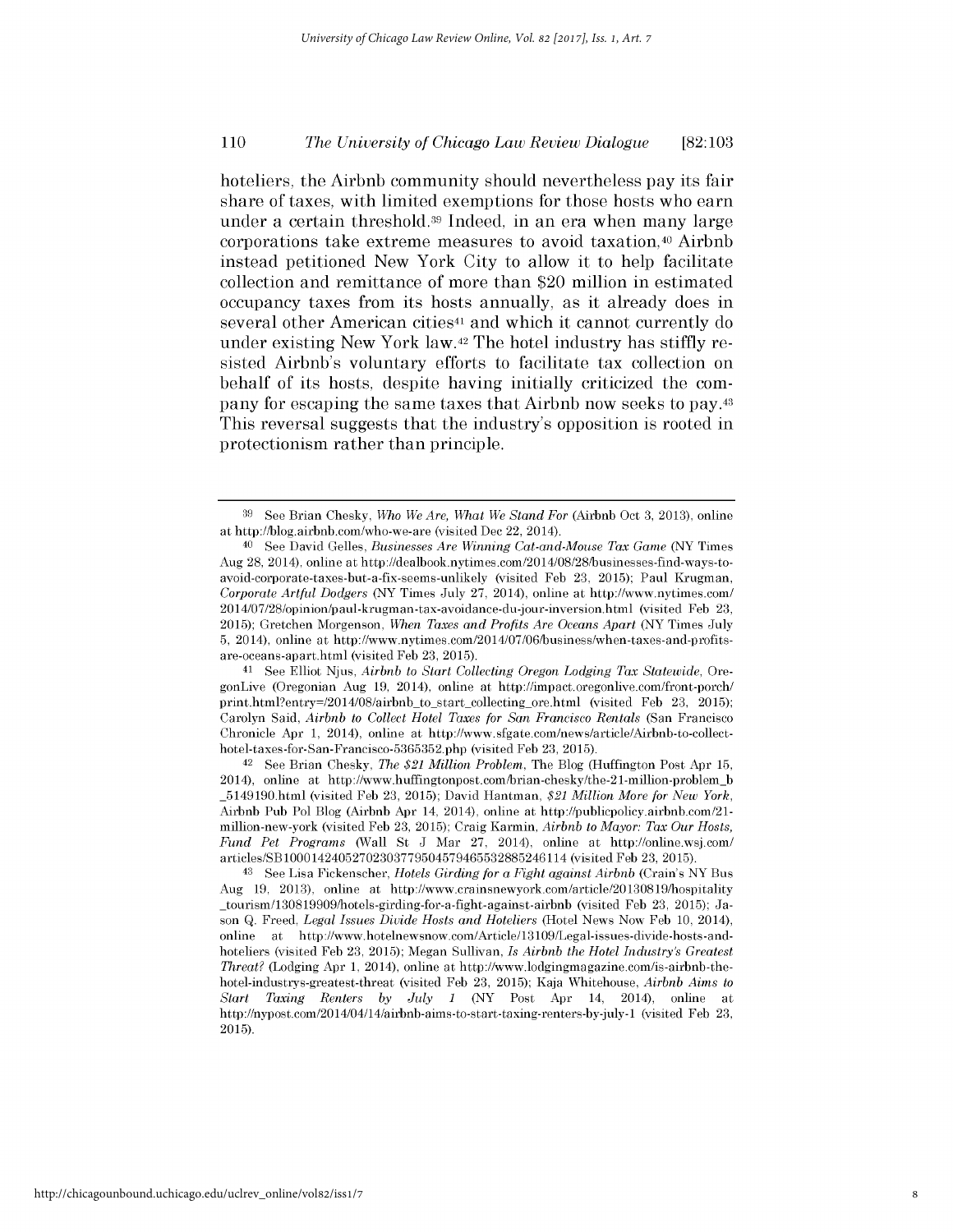hoteliers, the Airbnb community should nevertheless pay its fair share of taxes, with limited exemptions for those hosts who earn under a certain threshold.39 Indeed, in an era when many large corporations take extreme measures to avoid taxation,<sup>40</sup> Airbnb instead petitioned New York City to allow it to help facilitate collection and remittance of more than \$20 million in estimated occupancy taxes from its hosts annually, as it already does in several other American cities<sup>41</sup> and which it cannot currently do under existing New York law.42 The hotel industry has stiffly resisted Airbnb's voluntary efforts to facilitate tax collection on behalf of its hosts, despite having initially criticized the company for escaping the same taxes that Airbnb now seeks to pay.<sup>43</sup> This reversal suggests that the industry's opposition is rooted in protectionism rather than principle.

41 See Elliot Njus, *Airbnb to Start Collecting Oregon Lodging Tax Statewide,* OregonLive (Oregonian Aug 19, 2014), online at http://impact.oregonlive.com/front-porch/ print.html?entry=/2014/08/airbnb\_to\_start\_collecting\_ore.html (visited Feb 23, 2015); Carolyn Said, *Airbnb to Collect Hotel Taxes for San Francisco Rentals* (San Francisco Chronicle Apr 1, 2014), online at http://www.sfgate.com/news/article/Airbnb-to-collecthotel-taxes-for-San-Francisco-5365352.php (visited Feb 23, 2015).

42 See Brian Chesky, *The \$21 Million Problem,* The Blog (Huffington Post Apr 15, 2014), online at http://www.huffingtonpost.com/brian-chesky/the-21-million-problem-b 5149190.html (visited Feb 23, 2015); David Hantman, *\$21 Million More for New York,* Airbnb Pub Pol Blog (Airbnb Apr 14, 2014), online at http://publicpolicy.airbnb.com/21 million-new-york (visited Feb 23, 2015); Craig Karmin, *Airbnb to Mayor: Tax Our Hosts, Fund Pet Programs* (Wall St J Mar 27, 2014), online at http://online.wsj.com/ articles/SB 1000 1424052702303779504579465532885246114 (visited Feb 23, 2015).

<sup>43</sup> See Lisa Fickenscher, *Hotels Girding for a Fight against Airbnb* (Crain's NY Bus Aug 19, 2013), online at http://www.crainsnewyork.com/article/20 1308 19/hospitality \_tourism/130819909/hotels-girding-for-a-fight-against-airbnb (visited Feb 23, 2015); Jason **Q.** Freed, *Legal Issues Divide Hosts and Hoteliers* (Hotel News Now Feb 10, 2014), online at http://www.hotelnewsnow.com/Article/13109/Legal-issues-divide-hosts-andhoteliers (visited Feb 23, **2015);** Megan Sullivan, *Is Airbnb the Hotel Industry's Greatest Threat?* (Lodging Apr 1, 2014), online at http://www.lodgingmagazine.com/is-airbnb-thehotel-industrys-greatest-threat (visited Feb 23, 2015); Kaja Whitehouse, *Airbnb Aims to Start Taxing Renters by July 1* (NY Post Apr 14, 2014), online at http://nypost.com/2014/04/14/airbnb-aims-to-start-taxing-renters-by-july-1 (visited Feb 23, 2015).

<sup>39</sup> See Brian Chesky, *Who We Are, What We Stand For* (Airbnb Oct 3, 2013), online at http://blog.airbnb.com/who-we-are (visited Dec 22, 2014).

<sup>40</sup> See David Gelles, *Businesses Are Winning Cat-and-Mouse Tax Game* (NY Times Aug 28, 2014), online at http://dealbook.nytimes.com/2014/08/28/businesses-find-ways-toavoid-corporate-taxes-but-a-fix-seems-unlikely (visited Feb **23, 2015);** Paul Krugman, *Corporate Artful Dodgers* (NY Times July 27, 2014), online at http://www.nytimes.com/ 2014/07/28/opinion/paul-krugman-tax-avoidance-du-jour-inversion.html (visited Feb 23, 2015); Gretchen Morgenson, *When Taxes and Profits Are Oceans Apart* (NY Times July 5, 2014), online at http://www.nytimes.com/2014/07/06/business/when-taxes-and-profitsare-oceans-apart.html (visited Feb 23, 2015).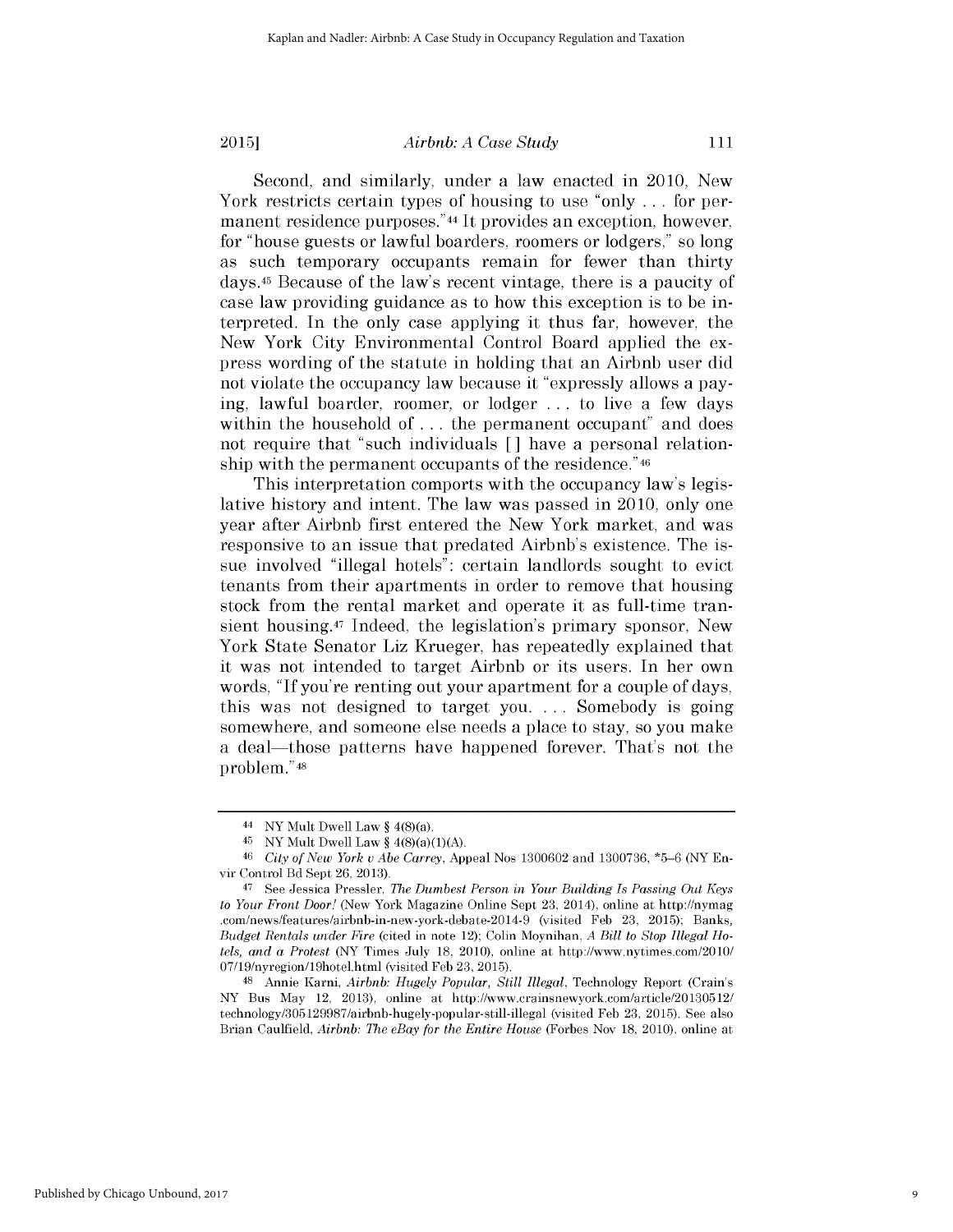### *Airbnb: A Case Study*

Second, and similarly, under a law enacted in 2010, New York restricts certain types of housing to use "only ... for permanent residence purposes."<sup>44</sup> It provides an exception, however, for "house guests or lawful boarders, roomers or lodgers," so long as such temporary occupants remain for fewer than thirty days.<sup>45</sup> Because of the law's recent vintage, there is a paucity of case law providing guidance as to how this exception is to be interpreted. In the only case applying it thus far, however, the New York City Environmental Control Board applied the express wording of the statute in holding that an Airbnb user did not violate the occupancy law because it "expressly allows a paying, lawful boarder, roomer, or lodger ... to live a few days within the household of ... the permanent occupant" and does not require that "such individuals **[]** have a personal relationship with the permanent occupants of the residence."46

This interpretation comports with the occupancy law's legislative history and intent. The law was passed in 2010, only one year after Airbnb first entered the New York market, and was responsive to an issue that predated Airbnb's existence. The issue involved "illegal hotels": certain landlords sought to evict tenants from their apartments in order to remove that housing stock from the rental market and operate it as full-time transient housing.<sup>47</sup> Indeed, the legislation's primary sponsor, New York State Senator Liz Krueger, has repeatedly explained that it was not intended to target Airbnb or its users. In her own words, "If you're renting out your apartment for a couple of days, this was not designed to target you. ... Somebody is going somewhere, and someone else needs a place to stay, so you make a deal—those patterns have happened forever. That's not the problem."4s

<sup>48</sup>Annie Karni, *Airbnb: Hugely Popular, Still Illegal,* Technology Report (Crain's NY Bus May 12, 2013), online at http: //www.crainsnewyork.com/article/20 130512/ technology/305 129987/airbnb-hugely-popular-still-illegal (visited Feb 23, 2015). See also Brian Caulfield, *Airbnb: The eBay for the Entire House* (Forbes Nov 18, 2010), online at

111

<sup>44</sup> NY Mult Dwell Law  $§$  4(8)(a).

<sup>45</sup> NY Mult Dwell Law §  $4(8)(a)(1)(A)$ .

<sup>46</sup> *City of New York u Abe Carrey,* Appeal Nos 1300602 and 1300736, \*5-6 (NY Envir Control Bd Sept 26, 2013).

<sup>&</sup>lt;sup>47</sup> See Jessica Pressler, *The Dumbest Person in Your Building Is Passing Out Keys to Your Front Door!* (New York Magazine Online Sept 23, 2014), online at http://nymag .com/news/features/airbnb-in-new-york-debate-2014-9 (visited Feb 23, 2015); Banks, *Budget Rentals under Fire* (cited in note 12); Colin Moynihan, *A Bill to Stop Illegal Hotels, and a Protest* (NY Times July 18, 2010), online at http://www.nytimes.com/2010/ 07/19/nyregion/19hotel.html (visited Feb 23, 2015).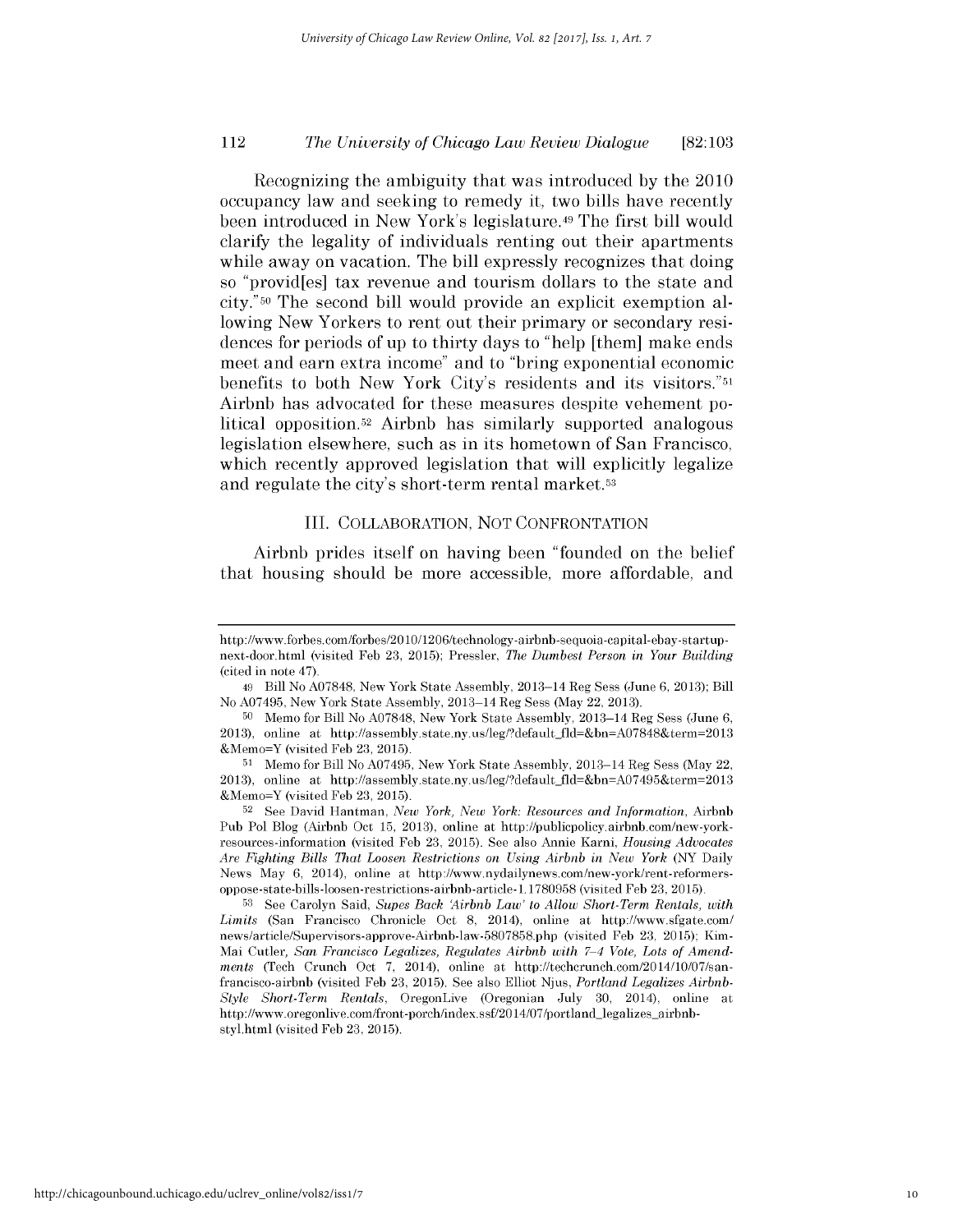Recognizing the ambiguity that was introduced **by** the 2010 occupancy law and seeking to remedy it, two bills have recently been introduced in New York's legislature. <sup>4</sup>9 The first **bill** would clarify the legality of individuals renting out their apartments while away on vacation. The bill expressly recognizes that doing so "provid[es] tax revenue and tourism dollars to the state and city."50 The second **bill** would provide an explicit exemption allowing New Yorkers to rent out their primary or secondary residences for periods of up to thirty days to "help [them] make ends meet and earn extra income" and to "bring exponential economic benefits to both New York City's residents and its visitors."51 Airbnb has advocated for these measures despite vehement political opposition.52 Airbnb has similarly supported analogous legislation elsewhere, such as in its hometown of San Francisco, which recently approved legislation that will explicitly legalize and regulate the city's short-term rental market.53

## III. COLLABORATION, NOT CONFRONTATION

Airbnb prides itself on having been "founded on the belief that housing should be more accessible, more affordable, and

**<sup>53</sup>**See Carolyn Said, *Supes Back Airbnb Law' to Allow Short-Term Rentals, with Limits* (San Francisco Chronicle Oct 8, 2014), online at http://www.sfgate.com/ news/article/Supervisors-approve-Airbnb-law-5807858.php (visited Feb 23, 2015); Kim-Mai Cutler, San Francisco Legalizes, Regulates Airbnb with 7-4 Vote, Lots of Amend*ments* (Tech Crunch Oct 7, 2014), online at http://techcrunch.com/2014/10/07/sanfrancisco-airbnb (visited Feb 23, 2015). See also Elliot Njus, *Portland Legalizes Airbnb-Style Short-Term Rentals,* OregonLive (Oregonian July 30, 2014), online at http://www.oregonlive.com/front-porch/index.ssf/2014/07/portland-legalizes-airbnbstyl.html (visited Feb 23, 2015).

http://www.forbes.com/forbes/20 10/1206/technology-airbnb-sequoia-capital-ebay-startupnext-door.html (visited Feb 23, 2015); Pressler, *The Dumbest Person in Your Building* (cited in note 47).

<sup>49</sup> Bill No A07848, New York State Assembly, 2013-14 Reg Sess (June 6, 2013); Bill No A07495, New York State Assembly, 2013-14 Reg Sess (May 22, 2013).

**<sup>50</sup>**Memo for Bill No A07848, New York State Assembly, 2013-14 Reg Sess (June 6, 2013), online at http://assembly.state.ny.us/leg/?default-fld=&bn=A07848&term=2013 &Memo=Y (visited Feb 23, 2015).

<sup>51</sup> Memo for Bill No A07495, New York State Assembly, 2013-14 Reg Sess (May 22, 2013), online at http://assembly.state.ny.us/leg/?default-fld=&bn=A07495&term=2013 &Memo=Y (visited Feb 23, 2015).

<sup>52</sup>See David Hantman, *New York, New York: Resources and Information,* Airbnb Pub Pol Blog (Airbnb Oct 15, 2013), online at http://publicpolicy.airbnb.com/new-yorkresources-information (visited Feb 23, 2015). See also Annie Karni, *Housing Advocates Are Fighting Bills That Loosen Restrictions on Using Airbnb in New York* (NY Daily News May 6, 2014), online at http://www.nydailynews.com/new-york/rent-reformersoppose-state-bills-loosen-restrictions-airbnb-article- 1.1780958 (visited Feb 23, 2015).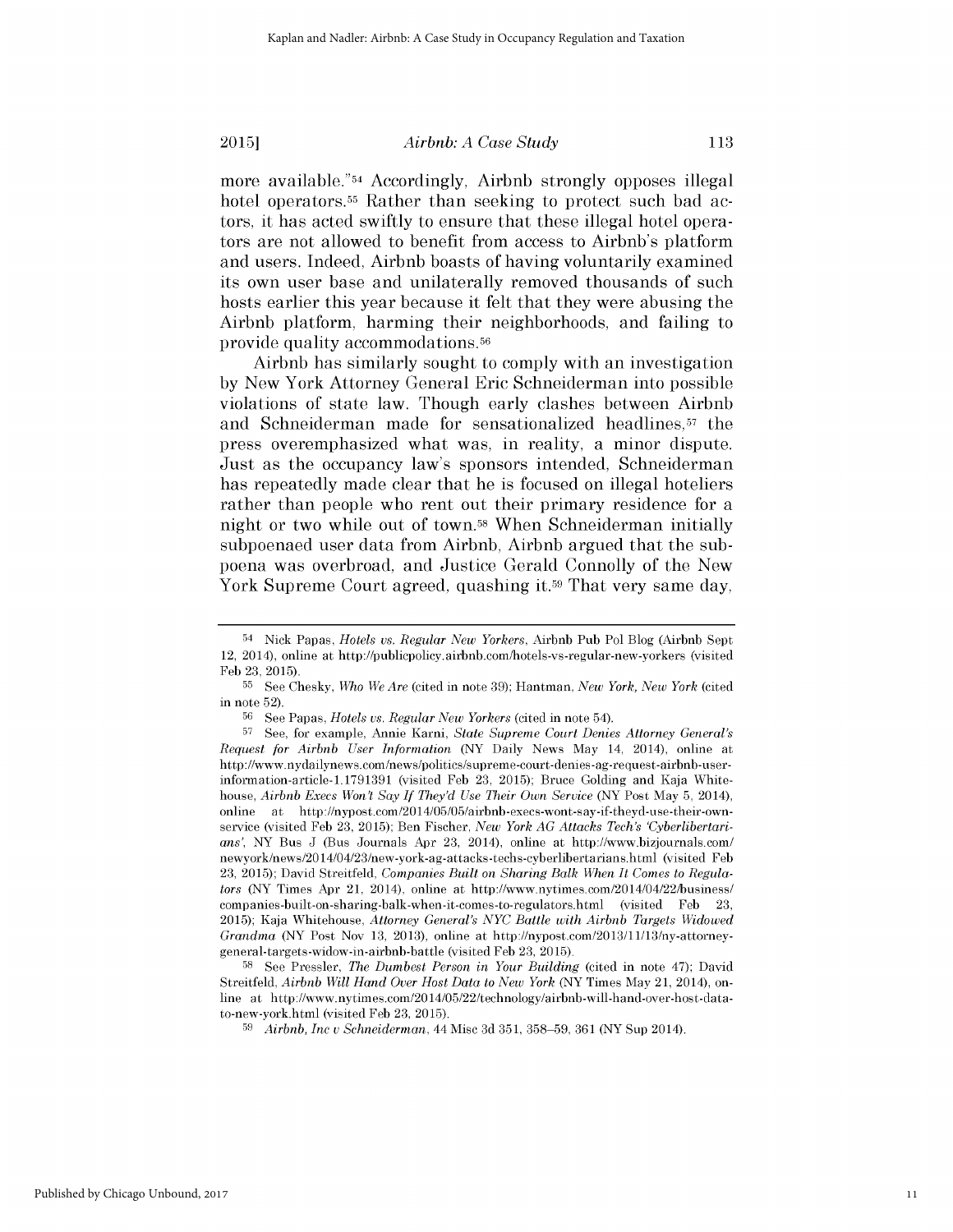*Airbnb: A Case Study*

113

more available."<sup>54</sup> Accordingly, Airbnb strongly opposes illegal hotel operators.<sup>55</sup> Rather than seeking to protect such bad actors, it has acted swiftly to ensure that these illegal hotel operators are not allowed to benefit from access to Airbnb's platform and users. Indeed, Airbnb boasts of having voluntarily examined its own user base and unilaterally removed thousands of such hosts earlier this year because it felt that they were abusing the Airbnb platform, harming their neighborhoods, and failing to provide quality accommodations.56

Airbnb has similarly sought to comply with an investigation **by** New York Attorney General Eric Schneiderman into possible violations of state law. Though early clashes between Airbnb and Schneiderman made for sensationalized headlines,<sup>57</sup> the press overemphasized what was, in reality, a minor dispute. Just as the occupancy law's sponsors intended, Schneiderman has repeatedly made clear that he is focused on illegal hoteliers rather than people who rent out their primary residence for a night or two while out of town.<sup>58</sup>When Schneiderman initially subpoenaed user data from Airbnb, Airbnb argued that the subpoena was overbroad, and Justice Gerald Connolly of the New York Supreme Court agreed, quashing it.<sup>59</sup> That very same day,

<sup>58</sup>See Pressler, *The Dumbest Person in Your Building* (cited in note 47); David Streitfeld, *Airbnb Will Hand Over Host Data to New York* (NY Times May 21, 2014), online at http://www.nytimes.com/2014/05/22/technology/airbnb-will-hand-over-host-datato-new-york.html (visited Feb 23, 2015).

<sup>&</sup>lt;sup>54</sup> Nick Papas, *Hotels vs. Regular New Yorkers*, Airbnb Pub Pol Blog (Airbnb Sept 12, 2014), online at http://publicpolicy.airbnb.com/hotels-vs-regular-new-yorkers (visited Feb 23, 2015).

**<sup>55</sup>**See Chesky, *Who We Are* (cited in note 39); Hantman, *New York, New York* (cited in note 52).

**<sup>56</sup>**See Papas, *Hotels us. Regular New Yorkers* (cited in note 54).

**<sup>57</sup>**See, for example, Annie Karni, *State Supreme Court Denies Attorney General's Request for Airbnb User Information* (NY Daily News May 14, 2014), online at http://www.nydailynews.com/news/politics/supreme-court-denies-ag-request-airbnb-userinformation-article-1.1791391 (visited Feb 23, 2015); Bruce Golding and Kaja Whitehouse, *Airbnb Execs Won't Say If They'd Use Their Own Service* (NY Post May 5, 2014), online at http://nypost.com/2014/05/05/airbnb-execs-wont-say-if-theyd-use-their-ownservice (visited Feb 23, 2015); Ben Fischer, *New York AG Attacks Techs 'Cyberlibertarians',* NY Bus J (Bus Journals Apr 23, 2014), online at http://www.bizjournals.com/ newyork/news/20 14/04/23/new-york-ag-attacks-techs-cyberlibertarians.html (visited Feb 23, 2015); David Streitfeld, *Companies Built on Sharing Balk When It Comes to Regulators* (NY Times Apr 21, 2014), online at http://www.nytimes.com/2014/04/22/business/ companies-built-on-sharing-balk-when-it-comes-to-regulators.html (visited Feb 23, 2015); Kaja Whitehouse, *Attorney General's NYC Battle with Airbnb Targets Widowed Grandma* (NY Post Nov 13, 2013), online at http://nypost.com/2013/11/13/ny-attorneygeneral-targets-widow-in-airbnb-battle (visited Feb 23, 2015).

<sup>59</sup>*Airbnb, Inc v Schneiderman,* 44 Misc 3d 351, 358-59, 361 (NY Sup 2014).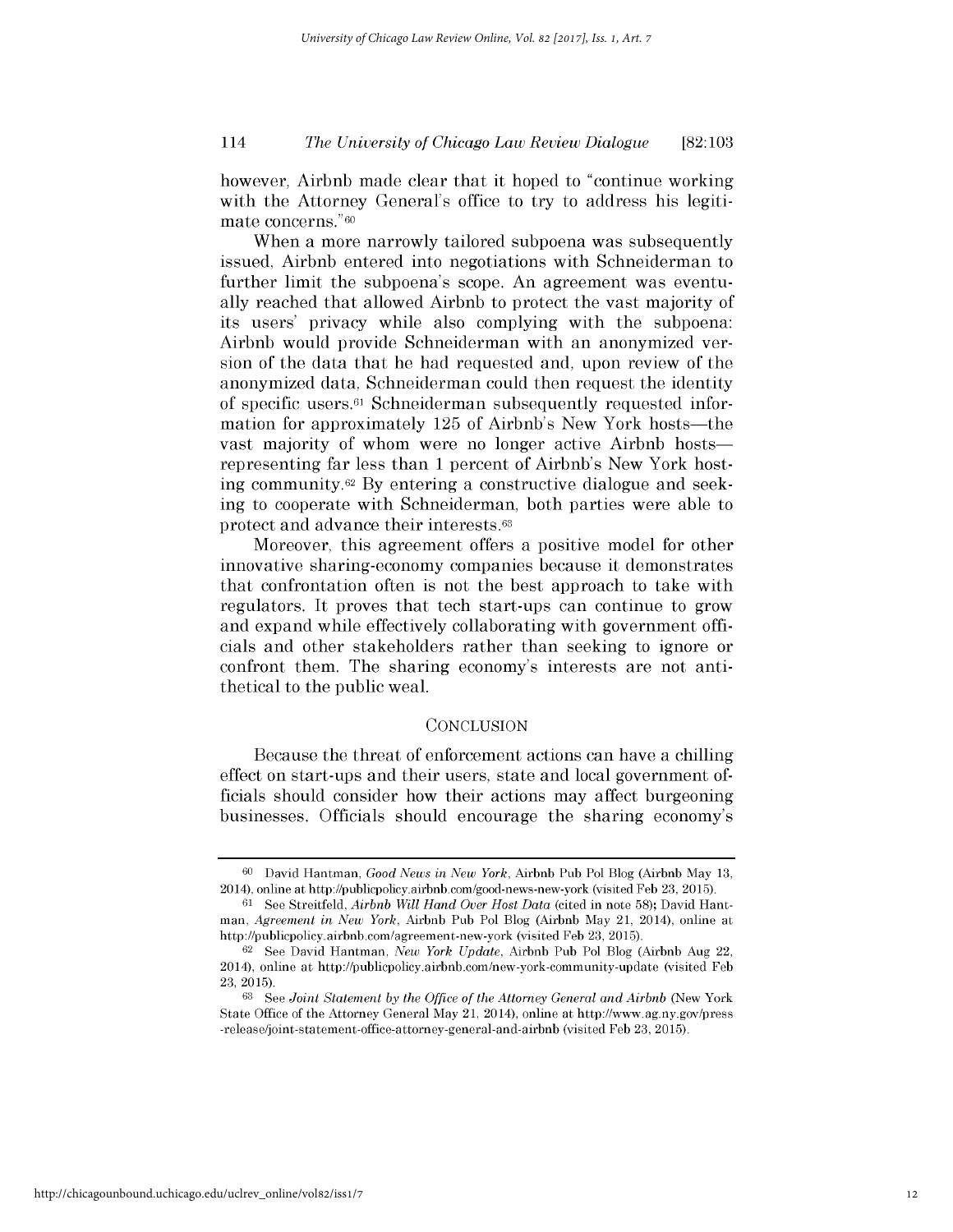however, Airbnb made clear that it hoped to "continue working with the Attorney General's office to try to address his legitimate concerns."60

When a more narrowly tailored subpoena was subsequently issued, Airbnb entered into negotiations with Schneiderman to further limit the subpoena's scope. An agreement was eventually reached that allowed Airbnb to protect the vast majority of its users' privacy while also complying with the subpoena: Airbnb would provide Schneiderman with an anonymized version of the data that he had requested and, upon review of the anonymized data, Schneiderman could then request the identity of specific users.<sup>61</sup> Schneiderman subsequently requested information for approximately 125 of Airbnb's New York hosts—the vast majority of whom were no longer active Airbnb hostsrepresenting far less than 1 percent of Airbnb's New York hosting community.62 By entering a constructive dialogue and seeking to cooperate with Schneiderman, both parties were able to protect and advance their interests.63

Moreover, this agreement offers a positive model for other innovative sharing-economy companies because it demonstrates that confrontation often is not the best approach to take with regulators. It proves that tech start-ups can continue to grow and expand while effectively collaborating with government officials and other stakeholders rather than seeking to ignore or confront them. The sharing economy's interests are not antithetical to the public weal.

### **CONCLUSION**

Because the threat of enforcement actions can have a chilling effect on start-ups and their users, state and local government officials should consider how their actions may affect burgeoning businesses. Officials should encourage the sharing economy's

**<sup>60</sup>**David Hantman, *Good News in New York,* Airbnb Pub Pol Blog (Airbnb May 13, 2014), online at http://publicpolicy.airbnb.com/good-news-new-york (visited Feb 23, 2015).

**<sup>61</sup>** See Streitfeld, *Airbnb Will Hand* Over *Host Data* (cited in note 58); David Hantman, *Agreement in New York,* Airbnb Pub Pol Blog (Airbnb May 21, 2014), online at http://publicpolicy.airbnb.com/agreement-new-york (visited Feb 23, 2015).

**<sup>62</sup>**See David Hantman, *New York Update,* Airbnb Pub Pol Blog (Airbnb Aug 22, 2014), online at http://publicpolicy.airbnb.com/new-york-community-update (visited Feb 23, 2015).

**<sup>63</sup>**See *Joint Statement by the Office of the Attorney General and Airbnb* (New York State Office of the Attorney General May 21, 2014), online at http://www.ag.ny.gov/press -release/joint-statement-office-attorney-general-and-airbnb (visited Feb 23, 2015).